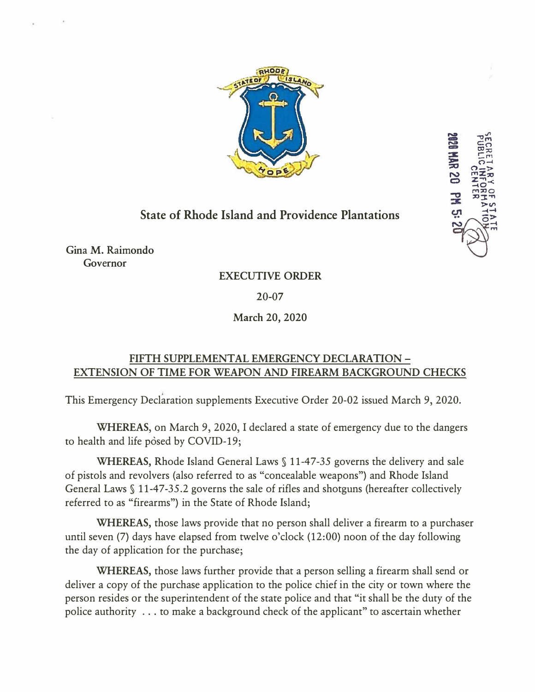

**DZ 8YH 6382** 

## **State of Rhode Island and Providence Plantations**

Gina M. Raimondo Governor

## **EXECUTIVE ORDER**

20-07

**March 20, 2020** 

## **FIFTH SUPPLEMENTAL EMERGENCY DECLARATION - EXTENSION OF TIME FOR WEAPON AND FIREARM BACKGROUND CHECKS**

This Emergency Declaration supplements Executive Order 20-02 issued March 9, 2020.

**WHEREAS,** on March 9, 2020, I declared a state of emergency due to the dangers to health and life posed by COVID-19;

**WHEREAS, Rhode Island General Laws § 11-47-35 governs the delivery and sale** of pistols and revolvers (also referred to as "concealable weapons") and Rhode Island General Laws  $\S$  11-47-35.2 governs the sale of rifles and shotguns (hereafter collectively referred to as "firearms") in the State of Rhode Island;

**WHEREAS,** those laws provide that no person shall deliver a firearm to a purchaser until seven (7) days have elapsed from twelve o'clock (12:00) noon of the day following the day of application for the purchase;

**WHEREAS,** those laws further provide that a person selling a firearm shall send or deliver a copy of the purchase application to the police chief in the city or town where the person resides or the superintendent of the state police and that "it shall be the duty of the police authority ... to make a background check of the applicant" to ascertain whether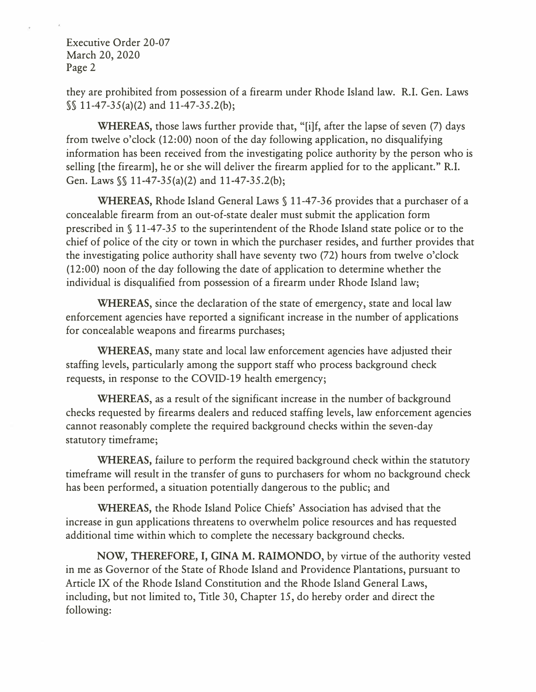Executive Order 20-07 March 20, 2020 Page 2

they are prohibited from possession of a firearm under Rhode Island law. R.I. Gen. Laws  $\sqrt{$}$  11-47-35(a)(2) and 11-47-35.2(b);

**WHEREAS,** those laws further provide that, "[i]f, after the lapse of seven (7) days from twelve o'clock (12:00) noon of the day following application, no disqualifying information has been received from the investigating police authority by the person who is selling [the firearm], he or she will deliver the firearm applied for to the applicant." R.I. Gen. Laws§§ 11-47-35(a)(2) and 11-47-35.2(6);

**WHEREAS,** Rhode Island General Laws§ 11-47-36 provides that a purchaser of a concealable firearm from an out-of-state dealer must submit the application form prescribed in § 11-47-35 to the superintendent of the Rhode Island state police or to the chief of police of the city or town in which the purchaser resides, and further provides that the investigating police authority shall have seventy two (72) hours from twelve o'clock (12:00) noon of the day following the date of application to determine whether the individual is disqualified from possession of a firearm under Rhode Island law;

**WHEREAS,** since the declaration of the state of emergency, state and local law enforcement agencies have reported a significant increase in the number of applications for concealable weapons and firearms purchases;

**WHEREAS,** many state and local law enforcement agencies have adjusted their staffing levels, particularly among the support staff who process background check requests, in response to the COVID-19 health emergency;

**WHEREAS,** as a result of the significant increase in the number of background checks requested by firearms dealers and reduced staffing levels, law enforcement agencies cannot reasonably complete the required background checks within the seven-day statutory timeframe;

**WHEREAS,** failure to perform the required background check within the statutory timeframe will result in the transfer of guns to purchasers for whom no background check has been performed, a situation potentially dangerous to the public; and

**WHEREAS,** the Rhode Island Police Chiefs' Association has advised that the increase in gun applications threatens to overwhelm police resources and has requested additional time within which to complete the necessary background checks.

**NOW, THEREFORE,** I, **GINA M. RAIMONDO,** by virtue of the authority vested in me as Governor of the State of Rhode Island and Providence Plantations, pursuant to Article IX of the Rhode Island Constitution and the Rhode Island General Laws, including, but not limited to, Title 30, Chapter 15, do hereby order and direct the following: